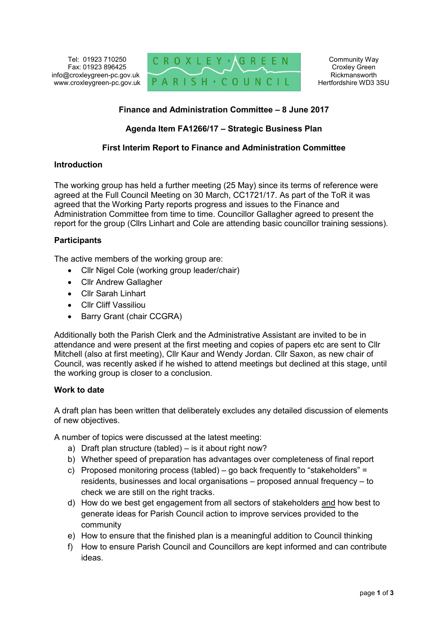

# **Finance and Administration Committee – 8 June 2017**

## **Agenda Item FA1266/17 – Strategic Business Plan**

## **First Interim Report to Finance and Administration Committee**

### **Introduction**

The working group has held a further meeting (25 May) since its terms of reference were agreed at the Full Council Meeting on 30 March, CC1721/17. As part of the ToR it was agreed that the Working Party reports progress and issues to the Finance and Administration Committee from time to time. Councillor Gallagher agreed to present the report for the group (Cllrs Linhart and Cole are attending basic councillor training sessions).

### **Participants**

The active members of the working group are:

- Cllr Nigel Cole (working group leader/chair)
- Cllr Andrew Gallagher
- Cllr Sarah Linhart
- Cllr Cliff Vassiliou
- Barry Grant (chair CCGRA)

Additionally both the Parish Clerk and the Administrative Assistant are invited to be in attendance and were present at the first meeting and copies of papers etc are sent to Cllr Mitchell (also at first meeting), Cllr Kaur and Wendy Jordan. Cllr Saxon, as new chair of Council, was recently asked if he wished to attend meetings but declined at this stage, until the working group is closer to a conclusion.

### **Work to date**

A draft plan has been written that deliberately excludes any detailed discussion of elements of new objectives.

A number of topics were discussed at the latest meeting:

- a) Draft plan structure (tabled) is it about right now?
- b) Whether speed of preparation has advantages over completeness of final report
- c) Proposed monitoring process (tabled) go back frequently to "stakeholders" = residents, businesses and local organisations – proposed annual frequency – to check we are still on the right tracks.
- d) How do we best get engagement from all sectors of stakeholders and how best to generate ideas for Parish Council action to improve services provided to the community
- e) How to ensure that the finished plan is a meaningful addition to Council thinking
- f) How to ensure Parish Council and Councillors are kept informed and can contribute ideas.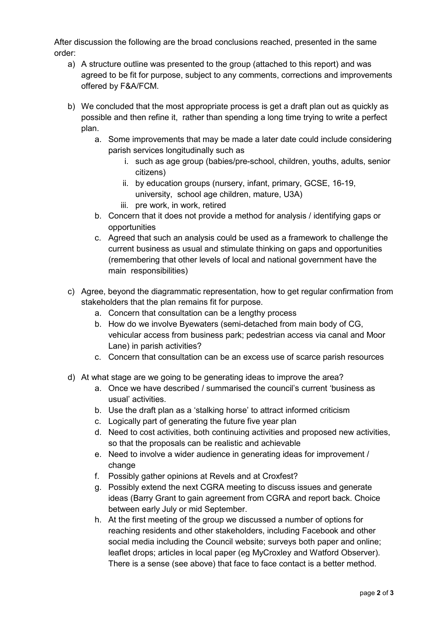After discussion the following are the broad conclusions reached, presented in the same order:

- a) A structure outline was presented to the group (attached to this report) and was agreed to be fit for purpose, subject to any comments, corrections and improvements offered by F&A/FCM.
- b) We concluded that the most appropriate process is get a draft plan out as quickly as possible and then refine it, rather than spending a long time trying to write a perfect plan.
	- a. Some improvements that may be made a later date could include considering parish services longitudinally such as
		- i. such as age group (babies/pre-school, children, youths, adults, senior citizens)
		- ii. by education groups (nursery, infant, primary, GCSE, 16-19, university, school age children, mature, U3A)
		- iii. pre work, in work, retired
	- b. Concern that it does not provide a method for analysis / identifying gaps or opportunities
	- c. Agreed that such an analysis could be used as a framework to challenge the current business as usual and stimulate thinking on gaps and opportunities (remembering that other levels of local and national government have the main responsibilities)
- c) Agree, beyond the diagrammatic representation, how to get regular confirmation from stakeholders that the plan remains fit for purpose.
	- a. Concern that consultation can be a lengthy process
	- b. How do we involve Byewaters (semi-detached from main body of CG, vehicular access from business park; pedestrian access via canal and Moor Lane) in parish activities?
	- c. Concern that consultation can be an excess use of scarce parish resources
- d) At what stage are we going to be generating ideas to improve the area?
	- a. Once we have described / summarised the council's current 'business as usual' activities.
	- b. Use the draft plan as a 'stalking horse' to attract informed criticism
	- c. Logically part of generating the future five year plan
	- d. Need to cost activities, both continuing activities and proposed new activities, so that the proposals can be realistic and achievable
	- e. Need to involve a wider audience in generating ideas for improvement / change
	- f. Possibly gather opinions at Revels and at Croxfest?
	- g. Possibly extend the next CGRA meeting to discuss issues and generate ideas (Barry Grant to gain agreement from CGRA and report back. Choice between early July or mid September.
	- h. At the first meeting of the group we discussed a number of options for reaching residents and other stakeholders, including Facebook and other social media including the Council website; surveys both paper and online; leaflet drops; articles in local paper (eg MyCroxley and Watford Observer). There is a sense (see above) that face to face contact is a better method.